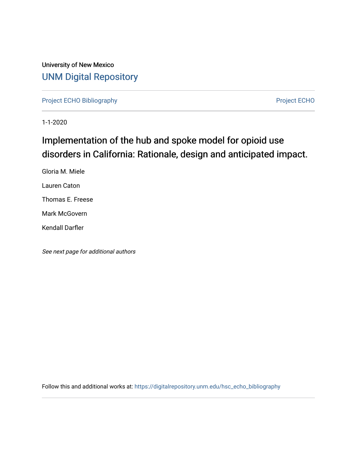## University of New Mexico [UNM Digital Repository](https://digitalrepository.unm.edu/)

[Project ECHO Bibliography](https://digitalrepository.unm.edu/hsc_echo_bibliography) **Project ECHO** 

1-1-2020

# Implementation of the hub and spoke model for opioid use disorders in California: Rationale, design and anticipated impact.

Gloria M. Miele Lauren Caton Thomas E. Freese Mark McGovern Kendall Darfler

See next page for additional authors

Follow this and additional works at: [https://digitalrepository.unm.edu/hsc\\_echo\\_bibliography](https://digitalrepository.unm.edu/hsc_echo_bibliography?utm_source=digitalrepository.unm.edu%2Fhsc_echo_bibliography%2F155&utm_medium=PDF&utm_campaign=PDFCoverPages)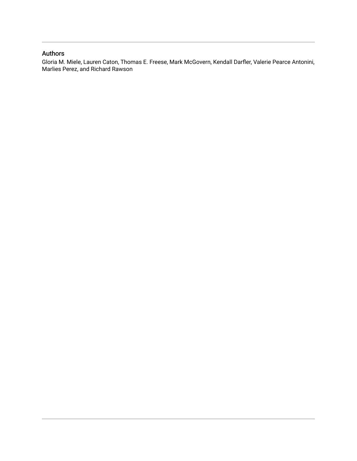## Authors

Gloria M. Miele, Lauren Caton, Thomas E. Freese, Mark McGovern, Kendall Darfler, Valerie Pearce Antonini, Marlies Perez, and Richard Rawson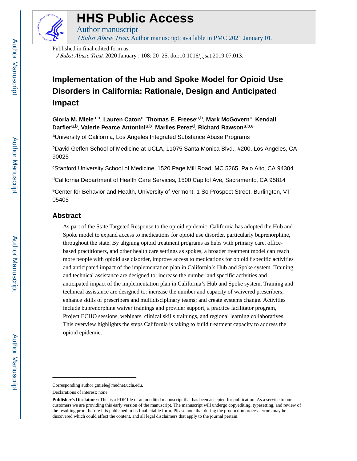

# **HHS Public Access**

J Subst Abuse Treat. Author manuscript; available in PMC 2021 January 01.

Published in final edited form as:

Author manuscript

J Subst Abuse Treat. 2020 January ; 108: 20–25. doi:10.1016/j.jsat.2019.07.013.

## **Implementation of the Hub and Spoke Model for Opioid Use Disorders in California: Rationale, Design and Anticipated Impact**

**Gloria M. Miele**a,b, **Lauren Caton**<sup>c</sup> , **Thomas E. Freese**a,b, **Mark McGovern**<sup>c</sup> , **Kendall Darfler**a,b, **Valerie Pearce Antonini**a,b, **Marlies Perez**d, **Richard Rawson**a,b,e

aUniversity of California, Los Angeles Integrated Substance Abuse Programs

<sup>b</sup>David Geffen School of Medicine at UCLA, 11075 Santa Monica Blvd., #200, Los Angeles, CA 90025

<sup>c</sup>Stanford University School of Medicine, 1520 Page Mill Road, MC 5265, Palo Alto, CA 94304

<sup>d</sup>California Department of Health Care Services, 1500 Capitol Ave, Sacramento, CA 95814

<sup>e</sup>Center for Behavior and Health, University of Vermont, 1 So Prospect Street, Burlington, VT 05405

## **Abstract**

As part of the State Targeted Response to the opioid epidemic, California has adopted the Hub and Spoke model to expand access to medications for opioid use disorder, particularly buprenorphine, throughout the state. By aligning opioid treatment programs as hubs with primary care, officebased practitioners, and other health care settings as spokes, a broader treatment model can reach more people with opioid use disorder, improve access to medications for opioid f specific activities and anticipated impact of the implementation plan in California's Hub and Spoke system. Training and technical assistance are designed to: increase the number and specific activities and anticipated impact of the implementation plan in California's Hub and Spoke system. Training and technical assistance are designed to: increase the number and capacity of waivered prescribers; enhance skills of prescribers and multidisciplinary teams; and create systems change. Activities include buprenorphine waiver trainings and provider support, a practice facilitator program, Project ECHO sessions, webinars, clinical skills trainings, and regional learning collaboratives. This overview highlights the steps California is taking to build treatment capacity to address the opioid epidemic.

Corresponding author gmiele@mednet.ucla.edu.

Declarations of interest: none

**Publisher's Disclaimer:** This is a PDF file of an unedited manuscript that has been accepted for publication. As a service to our customers we are providing this early version of the manuscript. The manuscript will undergo copyediting, typesetting, and review of the resulting proof before it is published in its final citable form. Please note that during the production process errors may be discovered which could affect the content, and all legal disclaimers that apply to the journal pertain.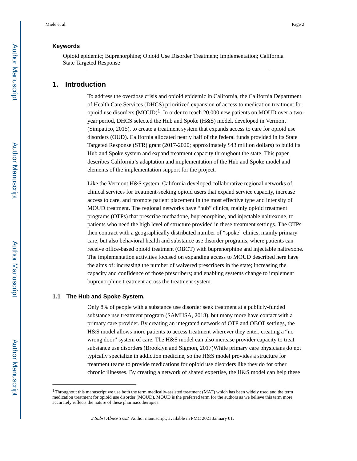### **Keywords**

Opioid epidemic; Buprenorphine; Opioid Use Disorder Treatment; Implementation; California State Targeted Response

## **1. Introduction**

To address the overdose crisis and opioid epidemic in California, the California Department of Health Care Services (DHCS) prioritized expansion of access to medication treatment for opioid use disorders  $(MOUD)^1$ . In order to reach 20,000 new patients on MOUD over a twoyear period, DHCS selected the Hub and Spoke (H&S) model, developed in Vermont (Simpatico, 2015), to create a treatment system that expands access to care for opioid use disorders (OUD). California allocated nearly half of the federal funds provided in its State Targeted Response (STR) grant (2017-2020; approximately \$43 million dollars) to build its Hub and Spoke system and expand treatment capacity throughout the state. This paper describes California's adaptation and implementation of the Hub and Spoke model and elements of the implementation support for the project.

Like the Vermont H&S system, California developed collaborative regional networks of clinical services for treatment-seeking opioid users that expand service capacity, increase access to care, and promote patient placement in the most effective type and intensity of MOUD treatment. The regional networks have "hub" clinics, mainly opioid treatment programs (OTPs) that prescribe methadone, buprenorphine, and injectable naltrexone, to patients who need the high level of structure provided in these treatment settings. The OTPs then contract with a geographically distributed number of "spoke" clinics, mainly primary care, but also behavioral health and substance use disorder programs, where patients can receive office-based opioid treatment (OBOT) with buprenorphine and injectable naltrexone. The implementation activities focused on expanding access to MOUD described here have the aims of: increasing the number of waivered prescribers in the state; increasing the capacity and confidence of those prescribers; and enabling systems change to implement buprenorphine treatment across the treatment system.

#### **1.1 The Hub and Spoke System.**

Only 8% of people with a substance use disorder seek treatment at a publicly-funded substance use treatment program (SAMHSA, 2018), but many more have contact with a primary care provider. By creating an integrated network of OTP and OBOT settings, the H&S model allows more patients to access treatment wherever they enter, creating a "no wrong door" system of care. The H&S model can also increase provider capacity to treat substance use disorders (Brooklyn and Sigmon, 2017)While primary care physicians do not typically specialize in addiction medicine, so the H&S model provides a structure for treatment teams to provide medications for opioid use disorders like they do for other chronic illnesses. By creating a network of shared expertise, the H&S model can help these

<sup>1</sup>Throughout this manuscript we use both the term medically-assisted treatment (MAT) which has been widely used and the term medication treatment for opioid use disorder (MOUD). MOUD is the preferred term for the authors as we believe this term more accurately reflects the nature of these pharmacotherapies.

J Subst Abuse Treat. Author manuscript; available in PMC 2021 January 01.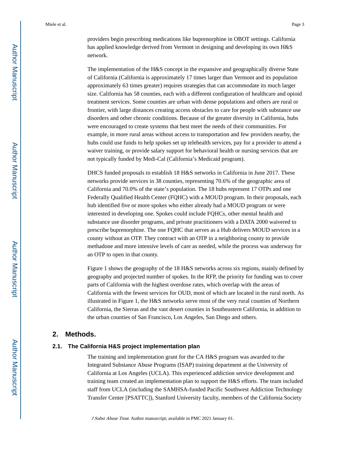providers begin prescribing medications like buprenorphine in OBOT settings. California has applied knowledge derived from Vermont in designing and developing its own H&S network.

The implementation of the H&S concept in the expansive and geographically diverse State of California (California is approximately 17 times larger than Vermont and its population approximately 63 times greater) requires strategies that can accommodate its much larger size. California has 58 counties, each with a different configuration of healthcare and opioid treatment services. Some counties are urban with dense populations and others are rural or frontier, with large distances creating access obstacles to care for people with substance use disorders and other chronic conditions. Because of the greater diversity in California, hubs were encouraged to create systems that best meet the needs of their communities. For example, in more rural areas without access to transportation and few providers nearby, the hubs could use funds to help spokes set up telehealth services, pay for a provider to attend a waiver training, or provide salary support for behavioral health or nursing services that are not typically funded by Medi-Cal (California's Medicaid program).

DHCS funded proposals to establish 18 H&S networks in California in June 2017. These networks provide services in 38 counties, representing 70.6% of the geographic area of California and 70.0% of the state's population. The 18 hubs represent 17 OTPs and one Federally Qualified Health Center (FQHC) with a MOUD program. In their proposals, each hub identified five or more spokes who either already had a MOUD program or were interested in developing one. Spokes could include FQHCs, other mental health and substance use disorder programs, and private practitioners with a DATA 2000 waivered to prescribe buprenorphine. The one FQHC that serves as a Hub delivers MOUD services in a county without an OTP. They contract with an OTP in a neighboring county to provide methadone and more intensive levels of care as needed, while the process was underway for an OTP to open in that county.

Figure 1 shows the geography of the 18 H&S networks across six regions, mainly defined by geography and projected number of spokes. In the RFP, the priority for funding was to cover parts of California with the highest overdose rates, which overlap with the areas of California with the fewest services for OUD, most of which are located in the rural north. As illustrated in Figure 1, the H&S networks serve most of the very rural counties of Northern California, the Sierras and the vast desert counties in Southeastern California, in addition to the urban counties of San Francisco, Los Angeles, San Diego and others.

## **2. Methods.**

#### **2.1. The California H&S project implementation plan**

The training and implementation grant for the CA H&S program was awarded to the Integrated Substance Abuse Programs (ISAP) training department at the University of California at Los Angeles (UCLA). This experienced addiction service development and training team created an implementation plan to support the H&S efforts. The team included staff from UCLA (including the SAMHSA-funded Pacific Southwest Addiction Technology Transfer Center [PSATTC]), Stanford University faculty, members of the California Society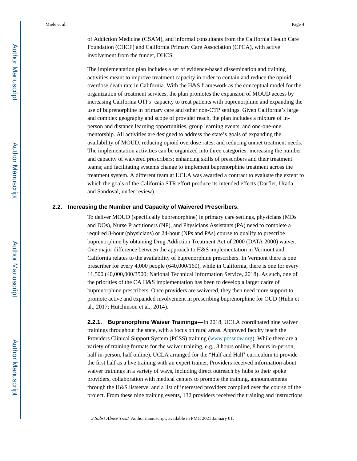of Addiction Medicine (CSAM), and informal consultants from the California Health Care Foundation (CHCF) and California Primary Care Association (CPCA), with active involvement from the funder, DHCS.

The implementation plan includes a set of evidence-based dissemination and training activities meant to improve treatment capacity in order to contain and reduce the opioid overdose death rate in California. With the H&S framework as the conceptual model for the organization of treatment services, the plan promotes the expansion of MOUD access by increasing California OTPs' capacity to treat patients with buprenorphine and expanding the use of buprenorphine in primary care and other non-OTP settings. Given California's large and complex geography and scope of provider reach, the plan includes a mixture of inperson and distance learning opportunities, group learning events, and one-one-one mentorship. All activities are designed to address the state's goals of expanding the availability of MOUD, reducing opioid overdose rates, and reducing unmet treatment needs. The implementation activities can be organized into three categories: increasing the number and capacity of waivered prescribers; enhancing skills of prescribers and their treatment teams; and facilitating systems change to implement buprenorphine treatment across the treatment system. A different team at UCLA was awarded a contract to evaluate the extent to which the goals of the California STR effort produce its intended effects (Darfler, Urada, and Sandoval, under review).

#### **2.2. Increasing the Number and Capacity of Waivered Prescribers.**

To deliver MOUD (specifically buprenorphine) in primary care settings, physicians (MDs and DOs), Nurse Practitioners (NP), and Physicians Assistants (PA) need to complete a required 8-hour (physicians) or 24-hour (NPs and PAs) course to qualify to prescribe buprenorphine by obtaining Drug Addiction Treatment Act of 2000 (DATA 2000) waiver. One major difference between the approach to H&S implementation in Vermont and California relates to the availability of buprenorphine prescribers. In Vermont there is one prescriber for every 4,000 people (640,000/160), while in California, there is one for every 11,500 (40,000,000/3500; National Technical Information Service, 2018). As such, one of the priorities of the CA H&S implementation has been to develop a larger cadre of buprenorphine prescribers. Once providers are waivered, they then need more support to promote active and expanded involvement in prescribing buprenorphine for OUD (Huhn et al., 2017; Hutchinson et al., 2014).

**2.2.1. Buprenorphine Waiver Trainings—**In 2018, UCLA coordinated nine waiver trainings throughout the state, with a focus on rural areas. Approved faculty teach the Providers Clinical Support System (PCSS) training [\(www.pcssnow.org](http://www.pcssnow.org)). While there are a variety of training formats for the waiver training, e.g., 8 hours online, 8 hours in-person, half in-person, half online), UCLA arranged for the "Half and Half' curriculum to provide the first half as a live training with an expert trainer. Providers received information about waiver trainings in a variety of ways, including direct outreach by hubs to their spoke providers, collaboration with medical centers to promote the training, announcements through the H&S listserve, and a list of interested providers compiled over the course of the project. From these nine training events, 132 providers received the training and instructions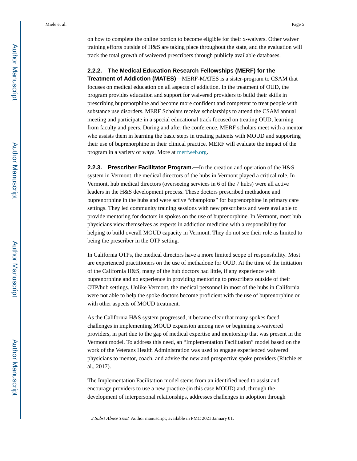on how to complete the online portion to become eligible for their x-waivers. Other waiver training efforts outside of H&S are taking place throughout the state, and the evaluation will track the total growth of waivered prescribers through publicly available databases.

#### **2.2.2. The Medical Education Research Fellowships (MERF) for the**

**Treatment of Addiction (MATES)—**MERF-MATES is a sister-program to CSAM that focuses on medical education on all aspects of addiction. In the treatment of OUD, the program provides education and support for waivered providers to build their skills in prescribing buprenorphine and become more confident and competent to treat people with substance use disorders. MERF Scholars receive scholarships to attend the CSAM annual meeting and participate in a special educational track focused on treating OUD, learning from faculty and peers. During and after the conference, MERF scholars meet with a mentor who assists them in learning the basic steps in treating patients with MOUD and supporting their use of buprenorphine in their clinical practice. MERF will evaluate the impact of the program in a variety of ways. More at [merfweb.org.](http://merfweb.org)

**2.2.3. Prescriber Facilitator Program.—**In the creation and operation of the H&S system in Vermont, the medical directors of the hubs in Vermont played a critical role. In Vermont, hub medical directors (overseeing services in 6 of the 7 hubs) were all active leaders in the H&S development process. These doctors prescribed methadone and buprenorphine in the hubs and were active "champions" for buprenorphine in primary care settings. They led community training sessions with new prescribers and were available to provide mentoring for doctors in spokes on the use of buprenorphine. In Vermont, most hub physicians view themselves as experts in addiction medicine with a responsibility for helping to build overall MOUD capacity in Vermont. They do not see their role as limited to being the prescriber in the OTP setting.

In California OTPs, the medical directors have a more limited scope of responsibility. Most are experienced practitioners on the use of methadone for OUD. At the time of the initiation of the California H&S, many of the hub doctors had little, if any experience with buprenorphine and no experience in providing mentoring to prescribers outside of their OTP/hub settings. Unlike Vermont, the medical personnel in most of the hubs in California were not able to help the spoke doctors become proficient with the use of buprenorphine or with other aspects of MOUD treatment.

As the California H&S system progressed, it became clear that many spokes faced challenges in implementing MOUD expansion among new or beginning x-waivered providers, in part due to the gap of medical expertise and mentorship that was present in the Vermont model. To address this need, an "Implementation Facilitation" model based on the work of the Veterans Health Administration was used to engage experienced waivered physicians to mentor, coach, and advise the new and prospective spoke providers (Ritchie et al., 2017).

The Implementation Facilitation model stems from an identified need to assist and encourage providers to use a new practice (in this case MOUD) and, through the development of interpersonal relationships, addresses challenges in adoption through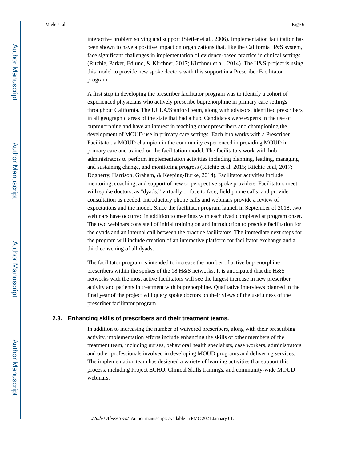interactive problem solving and support (Stetler et al., 2006). Implementation facilitation has been shown to have a positive impact on organizations that, like the California H&S system, face significant challenges in implementation of evidence-based practice in clinical settings (Ritchie, Parker, Edlund, & Kirchner, 2017; Kirchner et al., 2014). The H&S project is using this model to provide new spoke doctors with this support in a Prescriber Facilitator program.

A first step in developing the prescriber facilitator program was to identify a cohort of experienced physicians who actively prescribe buprenorphine in primary care settings throughout California. The UCLA/Stanford team, along with advisors, identified prescribers in all geographic areas of the state that had a hub. Candidates were experts in the use of buprenorphine and have an interest in teaching other prescribers and championing the development of MOUD use in primary care settings. Each hub works with a Prescriber Facilitator, a MOUD champion in the community experienced in providing MOUD in primary care and trained on the facilitation model. The facilitators work with hub administrators to perform implementation activities including planning, leading, managing and sustaining change, and monitoring progress (Ritchie et al, 2015; Ritchie et al, 2017; Dogherty, Harrison, Graham, & Keeping-Burke, 2014). Facilitator activities include mentoring, coaching, and support of new or perspective spoke providers. Facilitators meet with spoke doctors, as "dyads," virtually or face to face, field phone calls, and provide consultation as needed. Introductory phone calls and webinars provide a review of expectations and the model. Since the facilitator program launch in September of 2018, two webinars have occurred in addition to meetings with each dyad completed at program onset. The two webinars consisted of initial training on and introduction to practice facilitation for the dyads and an internal call between the practice facilitators. The immediate next steps for the program will include creation of an interactive platform for facilitator exchange and a third convening of all dyads.

The facilitator program is intended to increase the number of active buprenorphine prescribers within the spokes of the 18 H&S networks. It is anticipated that the H&S networks with the most active facilitators will see the largest increase in new prescriber activity and patients in treatment with buprenorphine. Qualitative interviews planned in the final year of the project will query spoke doctors on their views of the usefulness of the prescriber facilitator program.

#### **2.3. Enhancing skills of prescribers and their treatment teams.**

In addition to increasing the number of waivered prescribers, along with their prescribing activity, implementation efforts include enhancing the skills of other members of the treatment team, including nurses, behavioral health specialists, case workers, administrators and other professionals involved in developing MOUD programs and delivering services. The implementation team has designed a variety of learning activities that support this process, including Project ECHO, Clinical Skills trainings, and community-wide MOUD webinars.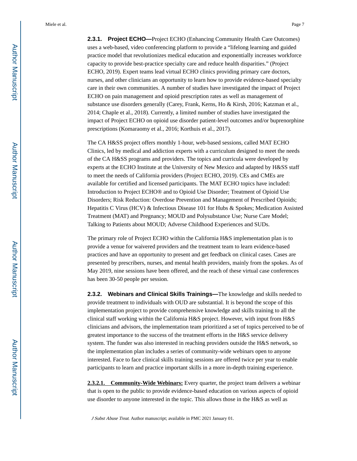**2.3.1. Project ECHO—**Project ECHO (Enhancing Community Health Care Outcomes) uses a web-based, video conferencing platform to provide a "lifelong learning and guided practice model that revolutionizes medical education and exponentially increases workforce capacity to provide best-practice specialty care and reduce health disparities." (Project ECHO, 2019). Expert teams lead virtual ECHO clinics providing primary care doctors, nurses, and other clinicians an opportunity to learn how to provide evidence-based specialty care in their own communities. A number of studies have investigated the impact of Project ECHO on pain management and opioid prescription rates as well as management of substance use disorders generally (Carey, Frank, Kerns, Ho & Kirsh, 2016; Katzman et al., 2014; Chaple et al., 2018). Currently, a limited number of studies have investigated the impact of Project ECHO on opioid use disorder patient-level outcomes and/or buprenorphine prescriptions (Komaraomy et al., 2016; Korthuis et al., 2017).

The CA H&SS project offers monthly 1-hour, web-based sessions, called MAT ECHO Clinics, led by medical and addiction experts with a curriculum designed to meet the needs of the CA H&SS programs and providers. The topics and curricula were developed by experts at the ECHO Institute at the University of New Mexico and adapted by H&SS staff to meet the needs of California providers (Project ECHO, 2019). CEs and CMEs are available for certified and licensed participants. The MAT ECHO topics have included: Introduction to Project ECHO® and to Opioid Use Disorder; Treatment of Opioid Use Disorders; Risk Reduction: Overdose Prevention and Management of Prescribed Opioids; Hepatitis C Virus (HCV) & Infectious Disease 101 for Hubs & Spokes; Medication Assisted Treatment (MAT) and Pregnancy; MOUD and Polysubstance Use; Nurse Care Model; Talking to Patients about MOUD; Adverse Childhood Experiences and SUDs.

The primary role of Project ECHO within the California H&S implementation plan is to provide a venue for waivered providers and the treatment team to learn evidence-based practices and have an opportunity to present and get feedback on clinical cases. Cases are presented by prescribers, nurses, and mental health providers, mainly from the spokes. As of May 2019, nine sessions have been offered, and the reach of these virtual case conferences has been 30-50 people per session.

**2.3.2. Webinars and Clinical Skills Trainings—**The knowledge and skills needed to provide treatment to individuals with OUD are substantial. It is beyond the scope of this implementation project to provide comprehensive knowledge and skills training to all the clinical staff working within the California H&S project. However, with input from H&S clinicians and advisors, the implementation team prioritized a set of topics perceived to be of greatest importance to the success of the treatment efforts in the H&S service delivery system. The funder was also interested in reaching providers outside the H&S network, so the implementation plan includes a series of community-wide webinars open to anyone interested. Face to face clinical skills training sessions are offered twice per year to enable participants to learn and practice important skills in a more in-depth training experience.

**2.3.2.1. Community-Wide Webinars:** Every quarter, the project team delivers a webinar that is open to the public to provide evidence-based education on various aspects of opioid use disorder to anyone interested in the topic. This allows those in the H&S as well as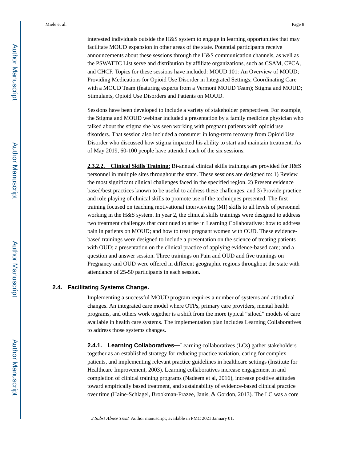interested individuals outside the H&S system to engage in learning opportunities that may facilitate MOUD expansion in other areas of the state. Potential participants receive announcements about these sessions through the H&S communication channels, as well as the PSWATTC List serve and distribution by affiliate organizations, such as CSAM, CPCA, and CHCF. Topics for these sessions have included: MOUD 101: An Overview of MOUD; Providing Medications for Opioid Use Disorder in Integrated Settings; Coordinating Care with a MOUD Team (featuring experts from a Vermont MOUD Team); Stigma and MOUD; Stimulants, Opioid Use Disorders and Patients on MOUD.

Sessions have been developed to include a variety of stakeholder perspectives. For example, the Stigma and MOUD webinar included a presentation by a family medicine physician who talked about the stigma she has seen working with pregnant patients with opioid use disorders. That session also included a consumer in long-term recovery from Opioid Use Disorder who discussed how stigma impacted his ability to start and maintain treatment. As of May 2019, 60-100 people have attended each of the six sessions.

**2.3.2.2. Clinical Skills Training:** Bi-annual clinical skills trainings are provided for H&S personnel in multiple sites throughout the state. These sessions are designed to: 1) Review the most significant clinical challenges faced in the specified region. 2) Present evidence based/best practices known to be useful to address these challenges, and 3) Provide practice and role playing of clinical skills to promote use of the techniques presented. The first training focused on teaching motivational interviewing (MI) skills to all levels of personnel working in the H&S system. In year 2, the clinical skills trainings were designed to address two treatment challenges that continued to arise in Learning Collaboratives: how to address pain in patients on MOUD; and how to treat pregnant women with OUD. These evidencebased trainings were designed to include a presentation on the science of treating patients with OUD; a presentation on the clinical practice of applying evidence-based care; and a question and answer session. Three trainings on Pain and OUD and five trainings on Pregnancy and OUD were offered in different geographic regions throughout the state with attendance of 25-50 participants in each session.

#### **2.4. Facilitating Systems Change.**

Implementing a successful MOUD program requires a number of systems and attitudinal changes. An integrated care model where OTPs, primary care providers, mental health programs, and others work together is a shift from the more typical "siloed" models of care available in health care systems. The implementation plan includes Learning Collaboratives to address those systems changes.

**2.4.1. Learning Collaboratives—**Learning collaboratives (LCs) gather stakeholders together as an established strategy for reducing practice variation, caring for complex patients, and implementing relevant practice guidelines in healthcare settings (Institute for Healthcare Improvement, 2003). Learning collaboratives increase engagement in and completion of clinical training programs (Nadeem et al, 2016), increase positive attitudes toward empirically based treatment, and sustainability of evidence-based clinical practice over time (Haine-Schlagel, Brookman-Frazee, Janis, & Gordon, 2013). The LC was a core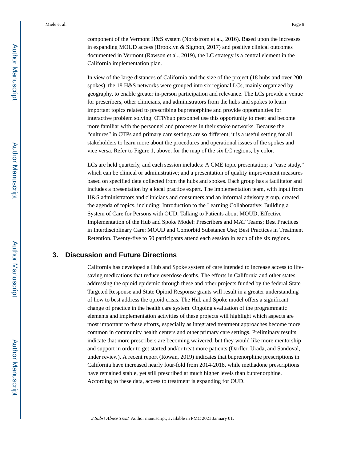component of the Vermont H&S system (Nordstrom et al., 2016). Based upon the increases in expanding MOUD access (Brooklyn & Sigmon, 2017) and positive clinical outcomes documented in Vermont (Rawson et al., 2019), the LC strategy is a central element in the California implementation plan.

In view of the large distances of California and the size of the project (18 hubs and over 200 spokes), the 18 H&S networks were grouped into six regional LCs, mainly organized by geography, to enable greater in-person participation and relevance. The LCs provide a venue for prescribers, other clinicians, and administrators from the hubs and spokes to learn important topics related to prescribing buprenorphine and provide opportunities for interactive problem solving. OTP/hub personnel use this opportunity to meet and become more familiar with the personnel and processes in their spoke networks. Because the "cultures" in OTPs and primary care settings are so different, it is a useful setting for all stakeholders to learn more about the procedures and operational issues of the spokes and vice versa. Refer to Figure 1, above, for the map of the six LC regions, by color.

LCs are held quarterly, and each session includes: A CME topic presentation; a "case study," which can be clinical or administrative; and a presentation of quality improvement measures based on specified data collected from the hubs and spokes. Each group has a facilitator and includes a presentation by a local practice expert. The implementation team, with input from H&S administrators and clinicians and consumers and an informal advisory group, created the agenda of topics, including: Introduction to the Learning Collaborative: Building a System of Care for Persons with OUD; Talking to Patients about MOUD; Effective Implementation of the Hub and Spoke Model: Prescribers and MAT Teams; Best Practices in Interdisciplinary Care; MOUD and Comorbid Substance Use; Best Practices in Treatment Retention. Twenty-five to 50 participants attend each session in each of the six regions.

## **3. Discussion and Future Directions**

California has developed a Hub and Spoke system of care intended to increase access to lifesaving medications that reduce overdose deaths. The efforts in California and other states addressing the opioid epidemic through these and other projects funded by the federal State Targeted Response and State Opioid Response grants will result in a greater understanding of how to best address the opioid crisis. The Hub and Spoke model offers a significant change of practice in the health care system. Ongoing evaluation of the programmatic elements and implementation activities of these projects will highlight which aspects are most important to these efforts, especially as integrated treatment approaches become more common in community health centers and other primary care settings. Preliminary results indicate that more prescribers are becoming waivered, but they would like more mentorship and support in order to get started and/or treat more patients (Darfler, Urada, and Sandoval, under review). A recent report (Rowan, 2019) indicates that buprenorphine prescriptions in California have increased nearly four-fold from 2014-2018, while methadone prescriptions have remained stable, yet still prescribed at much higher levels than buprenorphine. According to these data, access to treatment is expanding for OUD.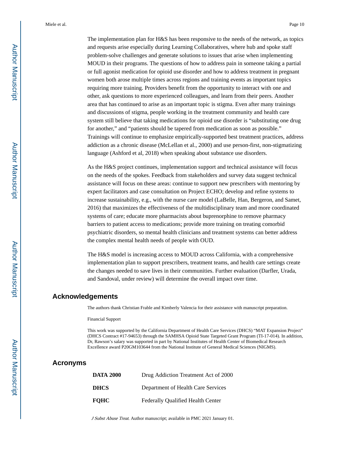The implementation plan for H&S has been responsive to the needs of the network, as topics and requests arise especially during Learning Collaboratives, where hub and spoke staff problem-solve challenges and generate solutions to issues that arise when implementing MOUD in their programs. The questions of how to address pain in someone taking a partial or full agonist medication for opioid use disorder and how to address treatment in pregnant women both arose multiple times across regions and training events as important topics requiring more training. Providers benefit from the opportunity to interact with one and other, ask questions to more experienced colleagues, and learn from their peers. Another area that has continued to arise as an important topic is stigma. Even after many trainings and discussions of stigma, people working in the treatment community and health care system still believe that taking medications for opioid use disorder is "substituting one drug for another," and "patients should be tapered from medication as soon as possible." Trainings will continue to emphasize empirically-supported best treatment practices, address addiction as a chronic disease (McLellan et al., 2000) and use person-first, non-stigmatizing language (Ashford et al, 2018) when speaking about substance use disorders.

As the H&S project continues, implementation support and technical assistance will focus on the needs of the spokes. Feedback from stakeholders and survey data suggest technical assistance will focus on these areas: continue to support new prescribers with mentoring by expert facilitators and case consultation on Project ECHO; develop and refine systems to increase sustainability, e.g., with the nurse care model (LaBelle, Han, Bergeron, and Samet, 2016) that maximizes the effectiveness of the multidisciplinary team and more coordinated systems of care; educate more pharmacists about buprenorphine to remove pharmacy barriers to patient access to medications; provide more training on treating comorbid psychiatric disorders, so mental health clinicians and treatment systems can better address the complex mental health needs of people with OUD.

The H&S model is increasing access to MOUD across California, with a comprehensive implementation plan to support prescribers, treatment teams, and health care settings create the changes needed to save lives in their communities. Further evaluation (Darfler, Urada, and Sandoval, under review) will determine the overall impact over time.

## **Acknowledgements**

The authors thank Christian Frable and Kimberly Valencia for their assistance with manuscript preparation.

Financial Support

This work was supported by the California Department of Health Care Services (DHCS) "MAT Expansion Project" (DHCS Contract #17-94653) through the SAMHSA Opioid State Targeted Grant Program (TI-17-014). In addition, Dr, Rawson's salary was supported in part by National Institutes of Health Center of Biomedical Research Excellence award P20GM103644 from the National Institute of General Medical Sciences (NIGMS).

#### **Acronyms**

| <b>DATA 2000</b> | Drug Addiction Treatment Act of 2000     |
|------------------|------------------------------------------|
| <b>DHCS</b>      | Department of Health Care Services       |
| <b>FOHC</b>      | <b>Federally Qualified Health Center</b> |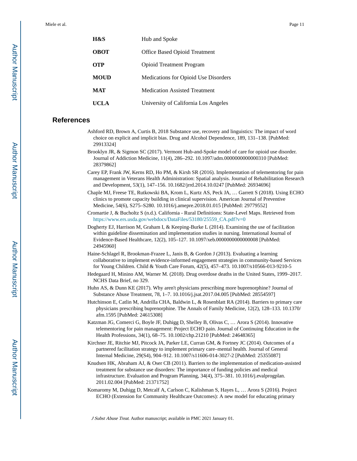| H&S         | Hub and Spoke                        |
|-------------|--------------------------------------|
| <b>OBOT</b> | Office Based Opioid Treatment        |
| <b>OTP</b>  | <b>Opioid Treatment Program</b>      |
| <b>MOUD</b> | Medications for Opioid Use Disorders |
| MAT         | Medication Assisted Treatment        |
| UCLA        | University of California Los Angeles |

## **References**

- Ashford RD, Brown A, Curtis B, 2018 Substance use, recovery and linguistics: The impact of word choice on explicit and implicit bias. Drug and Alcohol Dependence, 189, 131–138. [PubMed: 29913324]
- Brooklyn JR, & Sigmon SC (2017). Vermont Hub-and-Spoke model of care for opioid use disorder. Journal of Addiction Medicine, 11(4), 286–292. 10.1097/adm.0000000000000310 [PubMed: 28379862]

Carey EP, Frank JW, Kerns RD, Ho PM, & Kirsh SR (2016). Implementation of telementoring for pain management in Veterans Health Administration: Spatial analysis. Journal of Rehabilitation Research and Development, 53(1), 147–156. 10.1682/jrrd.2014.10.0247 [PubMed: 26934696]

Chaple MJ, Freese TE, Rutkowski BA, Krom L, Kurtz AS, Peck JA, … Garrett S (2018). Using ECHO clinics to promote capacity building in clinical supervision. American Journal of Preventive Medicine, 54(6), S275–S280. 10.1016/j.amepre.2018.01.015 [PubMed: 29779552]

Cromartie J, & Bucholtz S (n.d.). California - Rural Definitions: State-Level Maps. Retrieved from [https://www.ers.usda.gov/webdocs/DataFiles/53180/25559\\_CA.pdf?v=0](https://www.ers.usda.gov/webdocs/DataFiles/53180/25559_CA.pdf?v=0)

Dogherty EJ, Harrison M, Graham I, & Keeping-Burke L (2014). Examining the use of facilitation within guideline dissemination and implementation studies in nursing. International Journal of Evidence-Based Healthcare, 12(2), 105–127. 10.1097/xeb.0000000000000008 [PubMed: 24945960]

Haine-Schlagel R, Brookman-Frazee L, Janis B, & Gordon J (2013). Evaluating a learning collaborative to implement evidence-informed engagement strategies in community-based Services for Young Children. Child & Youth Care Forum, 42(5), 457–473. 10.1007/s10566-013-9210-5

Hedegaard H, Minino AM, Warner M. (2018). Drug overdose deaths in the United States, 1999–2017. NCHS Data Brief, no 329.

Huhn AS, & Dunn KE (2017). Why aren't physicians prescribing more buprenorphine? Journal of Substance Abuse Treatment, 78, 1–7. 10.1016/j.jsat.2017.04.005 [PubMed: 28554597]

Hutchinson E, Catlin M, Andrilla CHA, Baldwin L, & Rosenblatt RA (2014). Barriers to primary care physicians prescribing buprenorphine. The Annals of Family Medicine, 12(2), 128–133. 10.1370/ afm.1595 [PubMed: 24615308]

Katzman JG, Comerci G, Boyle JF, Duhigg D, Shelley B, Olivas C, … Arora S (2014). Innovative telementoring for pain management: Project ECHO pain. Journal of Continuing Education in the Health Professions, 34(1), 68–75. 10.1002/chp.21210 [PubMed: 24648365]

Kirchner JE, Ritchie MJ, Pitcock JA, Parker LE, Curran GM, & Fortney JC (2014). Outcomes of a partnered facilitation strategy to implement primary care–mental health. Journal of General Internal Medicine, 29(S4), 904–912. 10.1007/s11606-014-3027-2 [PubMed: 25355087]

- Knudsen HK, Abraham AJ, & Oser CB (2011). Barriers to the implementation of medication-assisted treatment for substance use disorders: The importance of funding policies and medical infrastructure. Evaluation and Program Planning, 34(4), 375–381. 10.1016/j.evalprogplan. 2011.02.004 [PubMed: 21371752]
- Komaromy M, Duhigg D, Metcalf A, Carlson C, Kalishman S, Hayes L, … Arora S (2016). Project ECHO (Extension for Community Healthcare Outcomes): A new model for educating primary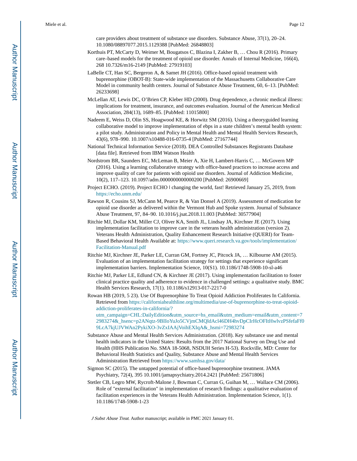care providers about treatment of substance use disorders. Substance Abuse, 37(1), 20–24. 10.1080/08897077.2015.1129388 [PubMed: 26848803]

- Korthuis PT, McCarty D, Weimer M, Bougatsos C, Blazina I, Zakher B, … Chou R (2016). Primary care–based models for the treatment of opioid use disorder. Annals of Internal Medicine, 166(4), 268 10.7326/m16-2149 [PubMed: 27919103]
- LaBelle CT, Han SC, Bergeron A, & Samet JH (2016). Office-based opioid treatment with buprenorphine (OBOT-B): State-wide implementation of the Massachusetts Collaborative Care Model in community health centers. Journal of Substance Abuse Treatment, 60, 6–13. [PubMed: 26233698]
- McLellan AT, Lewis DC, O'Brien CP, Kleber HD (2000). Drug dependence, a chronic medical illness: implications for treatment, insurance, and outcomes evaluation. Journal of the American Medical Association, 284(13), 1689–85. [PubMed: 11015800]
- Nadeem E, Weiss D, Olin SS, Hoagwood KE, & Horwitz SM (2016). Using a theoryguided learning collaborative model to improve implementation of ebps in a state children's mental health system: a pilot study. Administration and Policy in Mental Health and Mental Health Services Research, 43(6), 978–990. 10.1007/s10488-016-0735-4 [PubMed: 27167744]
- National Technical Information Service (2018). DEA Controlled Substances Registrants Database [data file]. Retrieved from IBM Watson Health
- Nordstrom BR, Saunders EC, McLeman B, Meier A, Xie H, Lambert-Harris C, … McGovern MP (2016). Using a learning collaborative strategy with office-based practices to increase access and improve quality of care for patients with opioid use disorders. Journal of Addiction Medicine, 10(2), 117–123. 10.1097/adm.0000000000000200 [PubMed: 26900669]
- Project ECHO. (2019). Project ECHO ∣ changing the world, fast! Retrieved January 25, 2019, from <https://echo.unm.edu/>
- Rawson R, Cousins SJ, McCann M, Pearce R, & Van Donsel A (2019). Assessment of medication for opioid use disorder as delivered within the Vermont Hub and Spoke system. Journal of Substance Abuse Treatment, 97, 84–90. 10.1016/j.jsat.2018.11.003 [PubMed: 30577904]
- Ritchie MJ, Dollar KM, Miller CJ, Oliver KA, Smith JL, Lindsay JA, Kirchner JE (2017). Using implementation facilitation to improve care in the veterans health administration (version 2). Veterans Health Administration, Quality Enhancement Research Initiative (QUERI) for Team-Based Behavioral Health Available at: [https://www.queri.research.va.gov/tools/implementation/](https://www.queri.research.va.gov/tools/implementation/Facilitation-Manual.pdf) [Facilitation-Manual.pdf](https://www.queri.research.va.gov/tools/implementation/Facilitation-Manual.pdf)
- Ritchie MJ, Kirchner JE, Parker LE, Curran GM, Fortney JC, Pitcock JA, … Kilbourne AM (2015). Evaluation of an implementation facilitation strategy for settings that experience significant implementation barriers. Implementation Science, 10(S1). 10.1186/1748-5908-10-sl-a46
- Ritchie MJ, Parker LE, Edlund CN, & Kirchner JE (2017). Using implementation facilitation to foster clinical practice quality and adherence to evidence in challenged settings: a qualitative study. BMC Health Services Research, 17(1). 10.1186/s12913-017-2217-0
- Rowan HB (2019, 5 23). Use Of Buprenorphine To Treat Opioid Addiction Proliferates In California. Retrieved from [https://californiahealthline.org/multimedia/use-of-buprenorphine-to-treat-opioid](https://californiahealthline.org/multimedia/use-of-buprenorphine-to-treat-opioid-addiction-proliferates-in-california/?utm_campaign=CHL:DailyEdition&utm_source=hs_email&utm_medium=email&utm_content=72983274&_hsenc=p2ANqtz-9BIIoYuJo5CVjmCMQldAcl46DH4hvDpCIrHcOFItHwlvzPSfefaFf09LcA7kjUJVWAn2PykiXO-3vZxIAAjVoihEXIqA&_hsmi=72983274)[addiction-proliferates-in-california/?](https://californiahealthline.org/multimedia/use-of-buprenorphine-to-treat-opioid-addiction-proliferates-in-california/?utm_campaign=CHL:DailyEdition&utm_source=hs_email&utm_medium=email&utm_content=72983274&_hsenc=p2ANqtz-9BIIoYuJo5CVjmCMQldAcl46DH4hvDpCIrHcOFItHwlvzPSfefaFf09LcA7kjUJVWAn2PykiXO-3vZxIAAjVoihEXIqA&_hsmi=72983274) [utm\\_campaign=CHL:DailyEdition&utm\\_source=hs\\_email&utm\\_medium=email&utm\\_content=7](https://californiahealthline.org/multimedia/use-of-buprenorphine-to-treat-opioid-addiction-proliferates-in-california/?utm_campaign=CHL:DailyEdition&utm_source=hs_email&utm_medium=email&utm_content=72983274&_hsenc=p2ANqtz-9BIIoYuJo5CVjmCMQldAcl46DH4hvDpCIrHcOFItHwlvzPSfefaFf09LcA7kjUJVWAn2PykiXO-3vZxIAAjVoihEXIqA&_hsmi=72983274)
	- [2983274&\\_hsenc=p2ANqtz-9BIIoYuJo5CVjmCMQldAcl46DH4hvDpCIrHcOFItHwlvzPSfefaFf0](https://californiahealthline.org/multimedia/use-of-buprenorphine-to-treat-opioid-addiction-proliferates-in-california/?utm_campaign=CHL:DailyEdition&utm_source=hs_email&utm_medium=email&utm_content=72983274&_hsenc=p2ANqtz-9BIIoYuJo5CVjmCMQldAcl46DH4hvDpCIrHcOFItHwlvzPSfefaFf09LcA7kjUJVWAn2PykiXO-3vZxIAAjVoihEXIqA&_hsmi=72983274) [9LcA7kjUJVWAn2PykiXO-3vZxIAAjVoihEXIqA&\\_hsmi=72983274](https://californiahealthline.org/multimedia/use-of-buprenorphine-to-treat-opioid-addiction-proliferates-in-california/?utm_campaign=CHL:DailyEdition&utm_source=hs_email&utm_medium=email&utm_content=72983274&_hsenc=p2ANqtz-9BIIoYuJo5CVjmCMQldAcl46DH4hvDpCIrHcOFItHwlvzPSfefaFf09LcA7kjUJVWAn2PykiXO-3vZxIAAjVoihEXIqA&_hsmi=72983274)
- Substance Abuse and Mental Health Services Administration. (2018). Key substance use and mental health indicators in the United States: Results from the 2017 National Survey on Drug Use and Health (HHS Publication No. SMA 18-5068, NSDUH Series H-53). Rockville, MD: Center for Behavioral Health Statistics and Quality, Substance Abuse and Mental Health Services Administration Retrieved from<https://www.samhsa.gov/data/>
- Sigmon SC (2015). The untapped potential of office-based buprenorphine treatment. JAMA Psychiatry, 72(4), 395 10.1001/jamapsychiatry.2014.2421 [PubMed: 25671806]
- Stetler CB, Legro MW, Rycroft-Malone J, Bowman C, Curran G, Guihan M, … Wallace CM (2006). Role of "external facilitation" in implementation of research findings: a qualitative evaluation of facilitation experiences in the Veterans Health Administration. Implementation Science, 1(1). 10.1186/1748-5908-1-23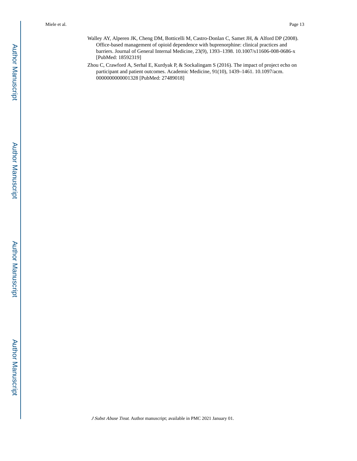- Walley AY, Alperen JK, Cheng DM, Botticelli M, Castro-Donlan C, Samet JH, & Alford DP (2008). Office-based management of opioid dependence with buprenorphine: clinical practices and barriers. Journal of General Internal Medicine, 23(9), 1393–1398. 10.1007/s11606-008-0686-x [PubMed: 18592319]
- Zhou C, Crawford A, Serhal E, Kurdyak P, & Sockalingam S (2016). The impact of project echo on participant and patient outcomes. Academic Medicine, 91(10), 1439–1461. 10.1097/acm. 0000000000001328 [PubMed: 27489018]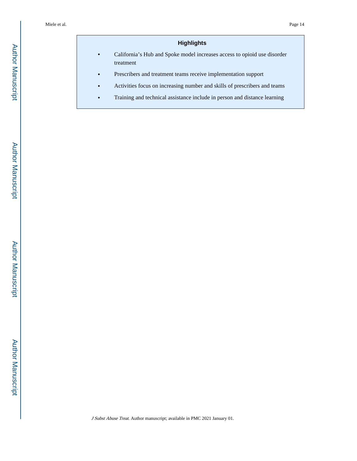## **Highlights**

- **•** California's Hub and Spoke model increases access to opioid use disorder treatment
- **•** Prescribers and treatment teams receive implementation support
- **•** Activities focus on increasing number and skills of prescribers and teams
- **•** Training and technical assistance include in person and distance learning